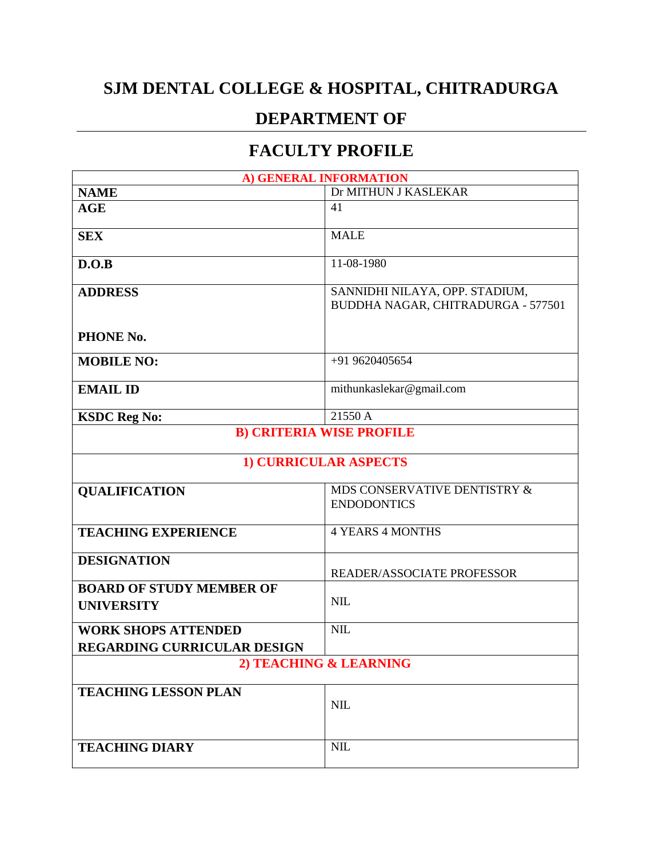## **SJM DENTAL COLLEGE & HOSPITAL, CHITRADURGA**

## **DEPARTMENT OF**

## **FACULTY PROFILE**

|                                                      | A) GENERAL INFORMATION                                               |
|------------------------------------------------------|----------------------------------------------------------------------|
| <b>NAME</b>                                          | Dr MITHUN J KASLEKAR                                                 |
| AGE                                                  | 41                                                                   |
| <b>SEX</b>                                           | <b>MALE</b>                                                          |
| D.O.B                                                | 11-08-1980                                                           |
| <b>ADDRESS</b>                                       | SANNIDHI NILAYA, OPP. STADIUM,<br>BUDDHA NAGAR, CHITRADURGA - 577501 |
| PHONE No.                                            |                                                                      |
| <b>MOBILE NO:</b>                                    | +91 9620405654                                                       |
| <b>EMAIL ID</b>                                      | mithunkaslekar@gmail.com                                             |
| <b>KSDC Reg No:</b>                                  | 21550 A                                                              |
| <b>B) CRITERIA WISE PROFILE</b>                      |                                                                      |
|                                                      |                                                                      |
| 1) CURRICULAR ASPECTS                                |                                                                      |
| <b>QUALIFICATION</b>                                 | MDS CONSERVATIVE DENTISTRY &                                         |
|                                                      | <b>ENDODONTICS</b>                                                   |
| <b>TEACHING EXPERIENCE</b>                           | <b>4 YEARS 4 MONTHS</b>                                              |
| <b>DESIGNATION</b>                                   |                                                                      |
|                                                      | READER/ASSOCIATE PROFESSOR                                           |
| <b>BOARD OF STUDY MEMBER OF</b><br><b>UNIVERSITY</b> | <b>NIL</b>                                                           |
|                                                      |                                                                      |
| <b>WORK SHOPS ATTENDED</b>                           | <b>NIL</b>                                                           |
| <b>REGARDING CURRICULAR DESIGN</b>                   |                                                                      |
| 2) TEACHING & LEARNING                               |                                                                      |
| <b>TEACHING LESSON PLAN</b>                          |                                                                      |
|                                                      | <b>NIL</b>                                                           |
| <b>TEACHING DIARY</b>                                | <b>NIL</b>                                                           |
|                                                      |                                                                      |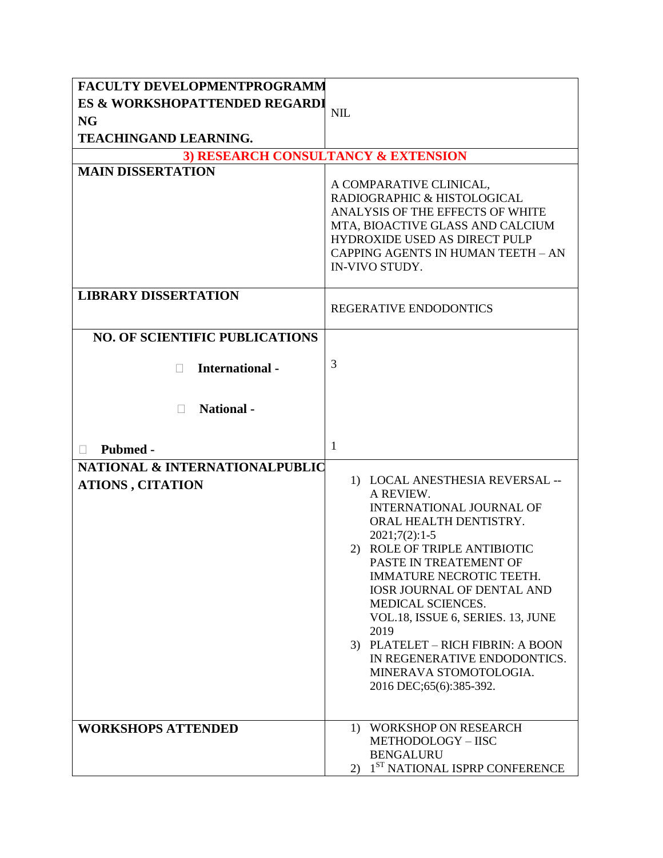| FACULTY DEVELOPMENTPROGRAMM               |                                                        |  |
|-------------------------------------------|--------------------------------------------------------|--|
| <b>ES &amp; WORKSHOPATTENDED REGARDI</b>  |                                                        |  |
| <b>NG</b>                                 | <b>NIL</b>                                             |  |
| <b>TEACHINGAND LEARNING.</b>              |                                                        |  |
| 3) RESEARCH CONSULTANCY & EXTENSION       |                                                        |  |
| <b>MAIN DISSERTATION</b>                  |                                                        |  |
|                                           | A COMPARATIVE CLINICAL,<br>RADIOGRAPHIC & HISTOLOGICAL |  |
|                                           | ANALYSIS OF THE EFFECTS OF WHITE                       |  |
|                                           | MTA, BIOACTIVE GLASS AND CALCIUM                       |  |
|                                           | <b>HYDROXIDE USED AS DIRECT PULP</b>                   |  |
|                                           | CAPPING AGENTS IN HUMAN TEETH - AN<br>IN-VIVO STUDY.   |  |
|                                           |                                                        |  |
| <b>LIBRARY DISSERTATION</b>               |                                                        |  |
|                                           | REGERATIVE ENDODONTICS                                 |  |
| <b>NO. OF SCIENTIFIC PUBLICATIONS</b>     |                                                        |  |
|                                           |                                                        |  |
| <b>International-</b>                     | 3                                                      |  |
|                                           |                                                        |  |
| <b>National</b> -<br>$\Box$               |                                                        |  |
|                                           |                                                        |  |
|                                           |                                                        |  |
| Pubmed -<br>П                             | $\mathbf{1}$                                           |  |
| <b>NATIONAL &amp; INTERNATIONALPUBLIC</b> |                                                        |  |
| <b>ATIONS, CITATION</b>                   | 1) LOCAL ANESTHESIA REVERSAL --<br>A REVIEW.           |  |
|                                           | <b>INTERNATIONAL JOURNAL OF</b>                        |  |
|                                           | ORAL HEALTH DENTISTRY.                                 |  |
|                                           | $2021;7(2):1-5$                                        |  |
|                                           | 2) ROLE OF TRIPLE ANTIBIOTIC<br>PASTE IN TREATEMENT OF |  |
|                                           | IMMATURE NECROTIC TEETH.                               |  |
|                                           | <b>IOSR JOURNAL OF DENTAL AND</b>                      |  |
|                                           | MEDICAL SCIENCES.                                      |  |
|                                           | VOL.18, ISSUE 6, SERIES. 13, JUNE<br>2019              |  |
|                                           | 3) PLATELET - RICH FIBRIN: A BOON                      |  |
|                                           | IN REGENERATIVE ENDODONTICS.                           |  |
|                                           | MINERAVA STOMOTOLOGIA.                                 |  |
|                                           | 2016 DEC;65(6):385-392.                                |  |
|                                           |                                                        |  |
| <b>WORKSHOPS ATTENDED</b>                 | 1) WORKSHOP ON RESEARCH                                |  |
|                                           | METHODOLOGY - IISC<br><b>BENGALURU</b>                 |  |
|                                           | 1 <sup>ST</sup> NATIONAL ISPRP CONFERENCE<br>2)        |  |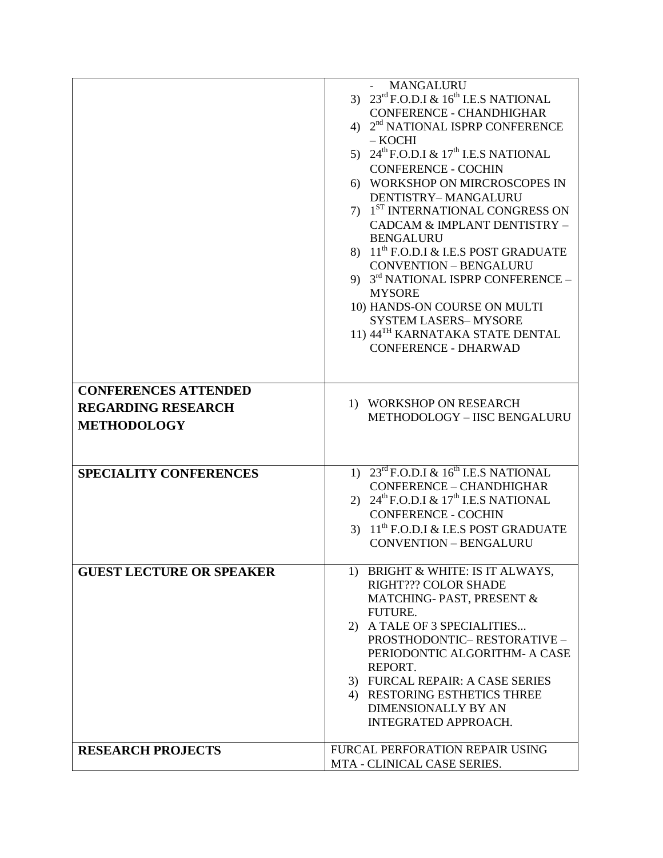|                                 | <b>MANGALURU</b>                                              |
|---------------------------------|---------------------------------------------------------------|
|                                 | 3) $23^{\text{rd}}$ F.O.D.I & $16^{\text{th}}$ I.E.S NATIONAL |
|                                 | <b>CONFERENCE - CHANDHIGHAR</b>                               |
|                                 | 4) 2 <sup>nd</sup> NATIONAL ISPRP CONFERENCE                  |
|                                 | $-$ KOCHI                                                     |
|                                 | 5) $24^{\text{th}}$ F.O.D.I & $17^{\text{th}}$ I.E.S NATIONAL |
|                                 | <b>CONFERENCE - COCHIN</b>                                    |
|                                 | 6) WORKSHOP ON MIRCROSCOPES IN                                |
|                                 | DENTISTRY-MANGALURU                                           |
|                                 | 7) 1 <sup>ST</sup> INTERNATIONAL CONGRESS ON                  |
|                                 | CADCAM & IMPLANT DENTISTRY -                                  |
|                                 | <b>BENGALURU</b>                                              |
|                                 | 8) 11 <sup>th</sup> F.O.D.I & I.E.S POST GRADUATE             |
|                                 | <b>CONVENTION - BENGALURU</b>                                 |
|                                 | 9) 3rd NATIONAL ISPRP CONFERENCE -                            |
|                                 | <b>MYSORE</b>                                                 |
|                                 | 10) HANDS-ON COURSE ON MULTI                                  |
|                                 | <b>SYSTEM LASERS-MYSORE</b>                                   |
|                                 | 11) 44 <sup>TH</sup> KARNATAKA STATE DENTAL                   |
|                                 | <b>CONFERENCE - DHARWAD</b>                                   |
|                                 |                                                               |
| <b>CONFERENCES ATTENDED</b>     |                                                               |
|                                 | 1) WORKSHOP ON RESEARCH                                       |
| <b>REGARDING RESEARCH</b>       | METHODOLOGY - IISC BENGALURU                                  |
| <b>METHODOLOGY</b>              |                                                               |
|                                 |                                                               |
|                                 |                                                               |
| <b>SPECIALITY CONFERENCES</b>   | 1) $23^{\text{rd}}$ F.O.D.I & $16^{\text{th}}$ I.E.S NATIONAL |
|                                 | CONFERENCE - CHANDHIGHAR                                      |
|                                 | 2) $24^{\text{th}}$ F.O.D.I & $17^{\text{th}}$ I.E.S NATIONAL |
|                                 | <b>CONFERENCE - COCHIN</b>                                    |
|                                 | 3) $11^{th}$ F.O.D.I & I.E.S POST GRADUATE                    |
|                                 | <b>CONVENTION - BENGALURU</b>                                 |
|                                 |                                                               |
| <b>GUEST LECTURE OR SPEAKER</b> | 1) BRIGHT & WHITE: IS IT ALWAYS,                              |
|                                 | RIGHT??? COLOR SHADE                                          |
|                                 | MATCHING-PAST, PRESENT &                                      |
|                                 | <b>FUTURE.</b>                                                |
|                                 | 2) A TALE OF 3 SPECIALITIES                                   |
|                                 | PROSTHODONTIC-RESTORATIVE-                                    |
|                                 | PERIODONTIC ALGORITHM- A CASE                                 |
|                                 | REPORT.                                                       |
|                                 | 3) FURCAL REPAIR: A CASE SERIES                               |
|                                 | 4) RESTORING ESTHETICS THREE                                  |
|                                 | <b>DIMENSIONALLY BY AN</b>                                    |
|                                 | INTEGRATED APPROACH.                                          |
|                                 |                                                               |
| <b>RESEARCH PROJECTS</b>        | FURCAL PERFORATION REPAIR USING                               |
|                                 | MTA - CLINICAL CASE SERIES.                                   |